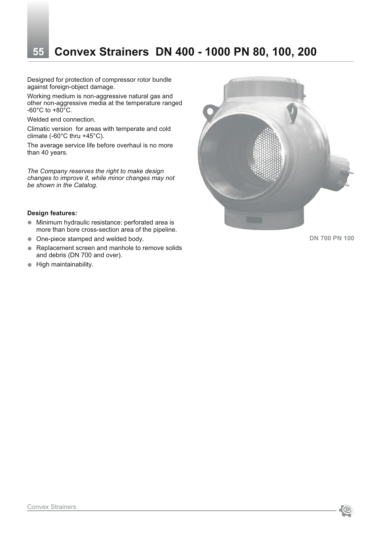# **55 Convex Strainers DN 400 - 1000 PN 80, 100, 200**

Designed for protection of compressor rotor bundle against foreign-object damage.

Working medium is non-aggressive natural gas and other non-aggressive media at the temperature ranged  $-60^{\circ}$ C to  $+80^{\circ}$ C.

Welded end connection.

Climatic version for areas with temperate and cold climate (-60°C thru +45°C).

The average service life before overhaul is no more than 40 years.

*The Company reserves the right to make design changes to improve it, while minor changes may not be shown in the Catalog.*

#### **Design features:**

- Minimum hydraulic resistance: perforated area is more than bore cross-section area of the pipeline.
- One-piece stamped and welded body.
- **•** Replacement screen and manhole to remove solids and debris (DN 700 and over).
- $\bullet$  High maintainability.



**DN 700 PN 100**

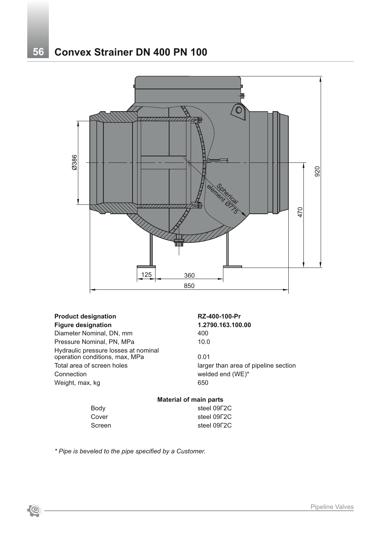# **56 Convex Strainer DN 400 PN 100**



#### **Product designation RZ-400-100-Pr Figure designation 1.2790.163.100.00**

Diameter Nominal, DN, mm 400 Pressure Nominal, PN, MPa 10.0 Hydraulic pressure losses at nominal operation conditions, max, MPa 0.01 Total area of screen holes larger than area of pipeline section Connection welded end (WE)\* Weight, max, kg 650

#### **Material of main parts**

| steel 09F2C |
|-------------|
| steel 09F2C |
| steel 09F2C |
|             |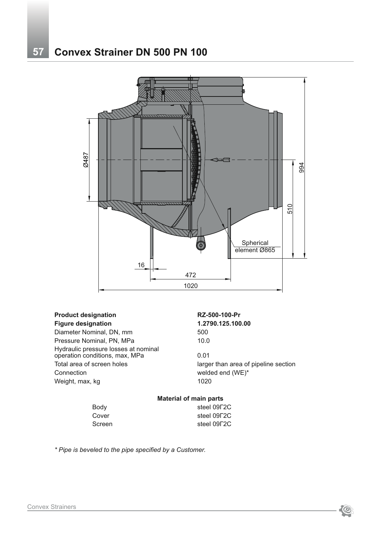

#### **Product designation RZ-500-100-Pr Figure designation 1.2790.125.100.00**

Diameter Nominal, DN, mm 500 Pressure Nominal, PN, MPa 10.0 Hydraulic pressure losses at nominal operation conditions, max, MPa  $10.01$ Total area of screen holes larger than area of pipeline section Connection welded end (WE)\* Weight, max, kg 1020

## **Material of main parts**

| steel 09F2C |
|-------------|
| steel 09F2C |
| steel 09F2C |
|             |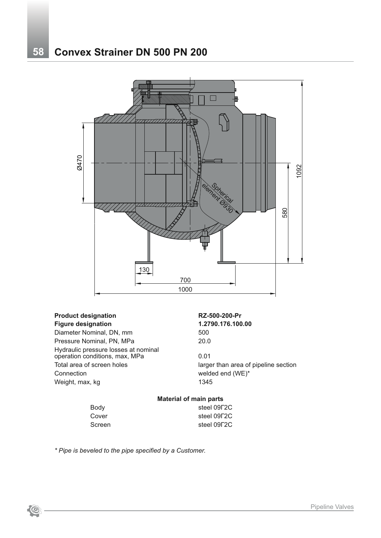

## **Product designation RZ-500-200-Pr Figure designation 1.2790.176.100.00**

Diameter Nominal, DN, mm 500 Pressure Nominal, PN, MPa 20.0 Hydraulic pressure losses at nominal operation conditions, max, MPa 6.01 Total area of screen holes larger than area of pipeline section Connection welded end (WE)\* Weight, max, kg 1345

#### **Material of main parts**

| Body   | steel 09F2C |
|--------|-------------|
| Cover  | steel 09F2C |
| Screen | steel 09F2C |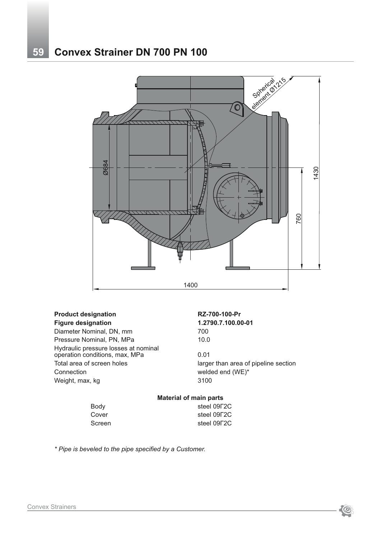# **59 Convex Strainer DN 700 PN 100**



## **Product designation RZ-700-100-Pr**

Diameter Nominal, DN, mm 700 Pressure Nominal, PN, MPa 10.0 Hydraulic pressure losses at nominal operation conditions, max, MPa 60.01 Total area of screen holes larger than area of pipeline section Connection welded end (WE)\* Weight, max, kg 3100

# **Figure designation 1.2790.7.100.00-01**

#### **Material of main parts**

Body steel 09Г2С

Cover steel 09Г2С Screen steel 09Г2С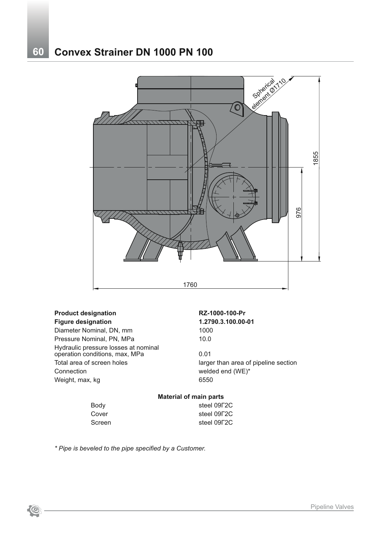# **60 Convex Strainer DN 1000 PN 100**



## **Product designation RZ-1000-100-Pr**

**Figure designation 1.2790.3.100.00-01** Diameter Nominal, DN, mm 1000 Pressure Nominal, PN, MPa 10.0 Hydraulic pressure losses at nominal operation conditions, max, MPa 0.01 Total area of screen holes larger than area of pipeline section Connection welded end (WE)\* Weight, max, kg 6550

|        | <b>Material of main parts</b> |  |  |
|--------|-------------------------------|--|--|
| Body   | steel 09F2C                   |  |  |
| Cover  | steel 09F2C                   |  |  |
| Screen | steel 09F2C                   |  |  |